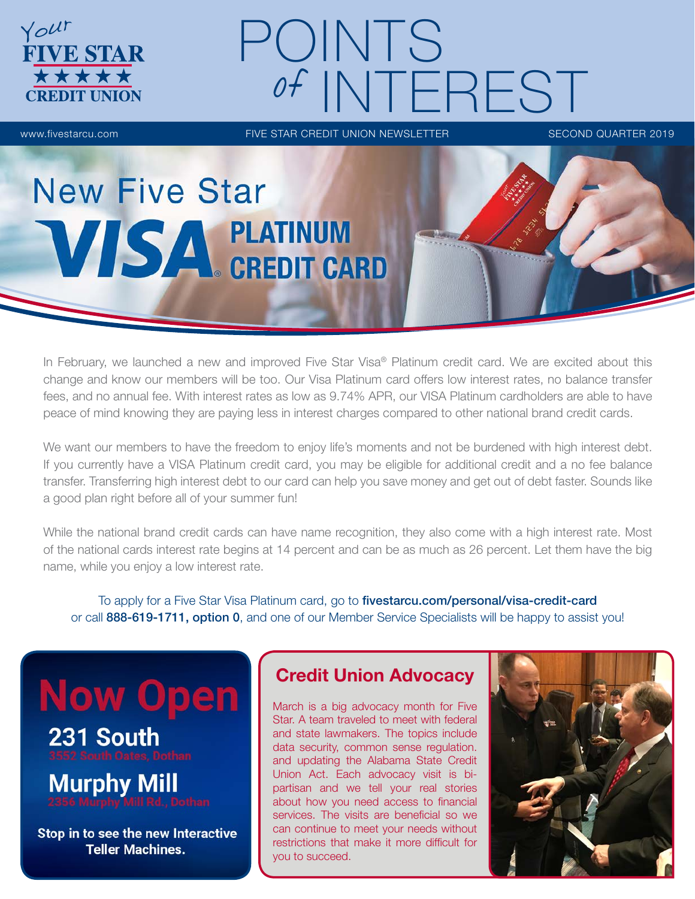

**FIVE STAR** 

**\*\*\*\*\*** 

Your

www.fivestarcu.com **FIVE STAR CREDIT UNION NEWSLETTER** SECOND QUARTER 2019

# **New Five Star VISA PLATINUM**<br>CREDIT CARD

In February, we launched a new and improved Five Star Visa<sup>®</sup> Platinum credit card. We are excited about this change and know our members will be too. Our Visa Platinum card offers low interest rates, no balance transfer fees, and no annual fee. With interest rates as low as 9.74% APR, our VISA Platinum cardholders are able to have peace of mind knowing they are paying less in interest charges compared to other national brand credit cards.

We want our members to have the freedom to enjoy life's moments and not be burdened with high interest debt. If you currently have a VISA Platinum credit card, you may be eligible for additional credit and a no fee balance transfer. Transferring high interest debt to our card can help you save money and get out of debt faster. Sounds like a good plan right before all of your summer fun!

While the national brand credit cards can have name recognition, they also come with a high interest rate. Most of the national cards interest rate begins at 14 percent and can be as much as 26 percent. Let them have the big name, while you enjoy a low interest rate.

To apply for a Five Star Visa Platinum card, go to fivestarcu.com/personal/visa-credit-card or call 888-619-1711, option 0, and one of our Member Service Specialists will be happy to assist you!

# **Now Open**

231 South

**Murphy Mill** 

Stop in to see the new Interactive **Teller Machines.** 

### Credit Union Advocacy

March is a big advocacy month for Five Star. A team traveled to meet with federal and state lawmakers. The topics include data security, common sense regulation. and updating the Alabama State Credit Union Act. Each advocacy visit is bipartisan and we tell your real stories about how you need access to financial services. The visits are beneficial so we can continue to meet your needs without restrictions that make it more difficult for you to succeed.